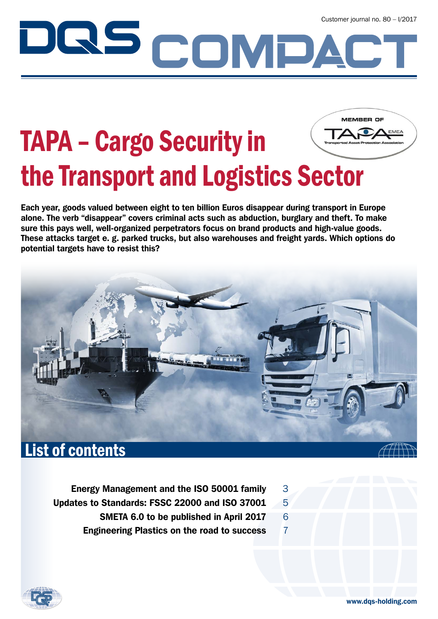# Customer journal no. 80 – I/2017<br>
Customer journal no. 80 – I/2017 DQS

# TAPA – Cargo Security in the Transport and Logistics Sector

Each year, goods valued between eight to ten billion Euros disappear during transport in Europe alone. The verb "disappear" covers criminal acts such as abduction, burglary and theft. To make sure this pays well, well-organized perpetrators focus on brand products and high-value goods. These attacks target e. g. parked trucks, but also warehouses and freight yards. Which options do potential targets have to resist this?



- Energy Management and the ISO 50001 family 3
- Updates to Standards: FSSC 22000 and ISO 37001  $-5$ 
	- SMETA 6.0 to be published in April 2017  $6$
	- Engineering Plastics on the road to success 7

**MEMBER OF**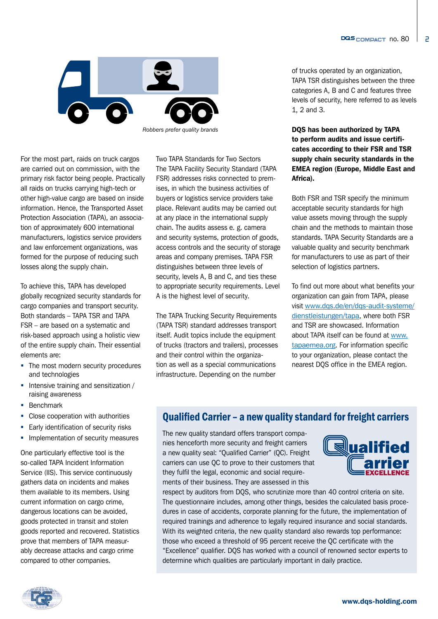

*Robbers prefer quality brands*

For the most part, raids on truck cargos are carried out on commission, with the primary risk factor being people. Practically all raids on trucks carrying high-tech or other high-value cargo are based on inside information. Hence, the Transported Asset Protection Association (TAPA), an association of approximately 600 international manufacturers, logistics service providers and law enforcement organizations, was formed for the purpose of reducing such losses along the supply chain.

To achieve this, TAPA has developed globally recognized security standards for cargo companies and transport security. Both standards – TAPA TSR and TAPA FSR – are based on a systematic and risk-based approach using a holistic view of the entire supply chain. Their essential elements are:

- The most modern security procedures and technologies
- Intensive training and sensitization / raising awareness
- **Benchmark**
- Close cooperation with authorities
- **Early identification of security risks**
- **Implementation of security measures**

One particularly effective tool is the so-called TAPA Incident Information Service (IIS). This service continuously gathers data on incidents and makes them available to its members. Using current information on cargo crime, dangerous locations can be avoided, goods protected in transit and stolen goods reported and recovered. Statistics prove that members of TAPA measurably decrease attacks and cargo crime compared to other companies.

Two TAPA Standards for Two Sectors The TAPA Facility Security Standard (TAPA FSR) addresses risks connected to premises, in which the business activities of buyers or logistics service providers take place. Relevant audits may be carried out at any place in the international supply chain. The audits assess e. g. camera and security systems, protection of goods, access controls and the security of storage areas and company premises. TAPA FSR distinguishes between three levels of security, levels A, B and C, and ties these to appropriate security requirements. Level A is the highest level of security.

The TAPA Trucking Security Requirements (TAPA TSR) standard addresses transport itself. Audit topics include the equipment of trucks (tractors and trailers), processes and their control within the organization as well as a special communications infrastructure. Depending on the number

of trucks operated by an organization, TAPA TSR distinguishes between the three categories A, B and C and features three levels of security, here referred to as levels 1, 2 and 3.

DQS has been authorized by TAPA to perform audits and issue certificates according to their FSR and TSR supply chain security standards in the EMEA region (Europe, Middle East and Africa).

Both FSR and TSR specify the minimum acceptable security standards for high value assets moving through the supply chain and the methods to maintain those standards. TAPA Security Standards are a valuable quality and security benchmark for manufacturers to use as part of their selection of logistics partners.

To find out more about what benefits your organization can gain from TAPA, please visit [www.dqs.de/en/dqs-audit-systeme/](http://www.dqs.de/en/dqs-audit-systeme/dienstleistungen/tapa/
) [dienstleistungen/tapa](http://www.dqs.de/en/dqs-audit-systeme/dienstleistungen/tapa/
), where both FSR and TSR are showcased. Information about TAPA itself can be found at [www.](http://www.tapaemea.org) [tapaemea.org](http://www.tapaemea.org). For information specific to your organization, please contact the nearest DQS office in the EMEA region.

### Qualified Carrier – a new quality standard for freight carriers

The new quality standard offers transport companies henceforth more security and freight carriers a new quality seal: "Qualified Carrier" (QC). Freight carriers can use QC to prove to their customers that they fulfil the legal, economic and social requirements of their business. They are assessed in this



respect by auditors from DQS, who scrutinize more than 40 control criteria on site. The questionnaire includes, among other things, besides the calculated basis procedures in case of accidents, corporate planning for the future, the implementation of required trainings and adherence to legally required insurance and social standards. With its weighted criteria, the new quality standard also rewards top performance: those who exceed a threshold of 95 percent receive the QC certificate with the "Excellence" qualifier. DQS has worked with a council of renowned sector experts to determine which qualities are particularly important in daily practice.

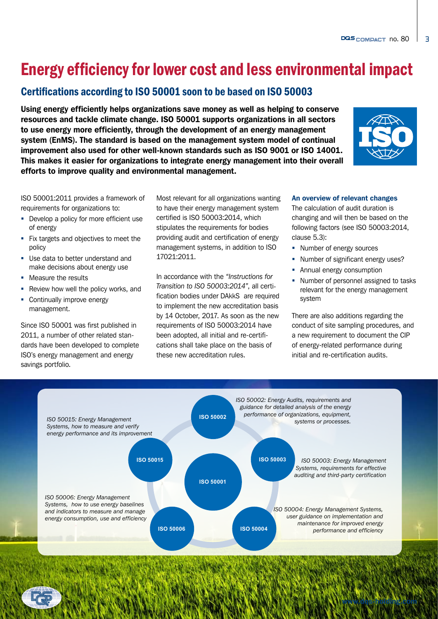### Energy efficiency for lower cost and less environmental impact

### Certifications according to ISO 50001 soon to be based on ISO 50003

Using energy efficiently helps organizations save money as well as helping to conserve resources and tackle climate change. ISO 50001 supports organizations in all sectors to use energy more efficiently, through the development of an energy management system (EnMS). The standard is based on the management system model of continual improvement also used for other well-known standards such as ISO 9001 or ISO 14001. This makes it easier for organizations to integrate energy management into their overall efforts to improve quality and environmental management.



ISO 50001:2011 provides a framework of requirements for organizations to:

- Develop a policy for more efficient use of energy
- Fix targets and objectives to meet the policy
- Use data to better understand and make decisions about energy use
- **Measure the results**
- Review how well the policy works, and
- **Continually improve energy** management.

Since ISO 50001 was first published in 2011, a number of other related standards have been developed to complete ISO's energy management and energy savings portfolio.

Most relevant for all organizations wanting to have their energy management system certified is ISO 50003:2014, which stipulates the requirements for bodies providing audit and certification of energy management systems, in addition to ISO 17021:2011.

In accordance with the *"Instructions for Transition to ISO 50003:2014"*, all certification bodies under DAkkS are required to implement the new accreditation basis by 14 October, 2017. As soon as the new requirements of ISO 50003:2014 have been adopted, all initial and re-certifications shall take place on the basis of these new accreditation rules.

#### An overview of relevant changes

The calculation of audit duration is changing and will then be based on the following factors (see ISO 50003:2014, clause 5.3):

- Number of energy sources
- Number of significant energy uses?
- **Annual energy consumption**
- Number of personnel assigned to tasks relevant for the energy management system

There are also additions regarding the conduct of site sampling procedures, and a new requirement to document the CIP of energy-related performance during initial and re-certification audits.

[www.dqs-holding.com](http://www.dqs-holding.com)

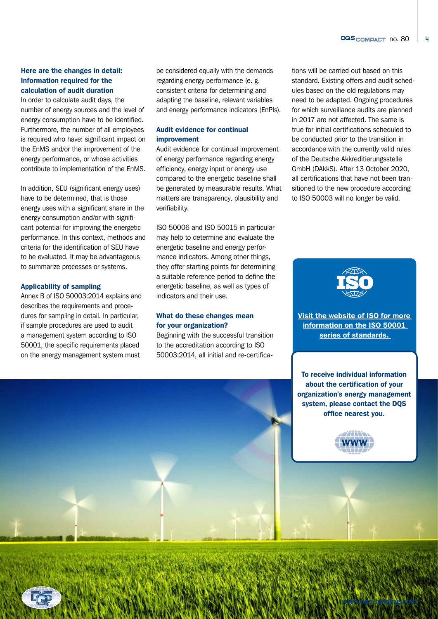4

#### Here are the changes in detail: Information required for the calculation of audit duration

In order to calculate audit days, the number of energy sources and the level of energy consumption have to be identified. Furthermore, the number of all employees is required who have: significant impact on the EnMS and/or the improvement of the energy performance, or whose activities contribute to implementation of the EnMS.

In addition, SEU (significant energy uses) have to be determined, that is those energy uses with a significant share in the energy consumption and/or with significant potential for improving the energetic performance. In this context, methods and criteria for the identification of SEU have to be evaluated. It may be advantageous to summarize processes or systems.

#### Applicability of sampling

Annex B of ISO 50003:2014 explains and describes the requirements and procedures for sampling in detail. In particular, if sample procedures are used to audit a management system according to ISO 50001, the specific requirements placed on the energy management system must

be considered equally with the demands regarding energy performance (e. g. consistent criteria for determining and adapting the baseline, relevant variables and energy performance indicators (EnPIs).

#### Audit evidence for continual improvement

Audit evidence for continual improvement of energy performance regarding energy efficiency, energy input or energy use compared to the energetic baseline shall be generated by measurable results. What matters are transparency, plausibility and verifiability.

ISO 50006 and ISO 50015 in particular may help to determine and evaluate the energetic baseline and energy performance indicators. Among other things, they offer starting points for determining a suitable reference period to define the energetic baseline, as well as types of indicators and their use.

#### What do these changes mean for your organization?

Beginning with the successful transition to the accreditation according to ISO 50003:2014, all initial and re-certifica-

tions will be carried out based on this standard. Existing offers and audit schedules based on the old regulations may need to be adapted. Ongoing procedures for which surveillance audits are planned in 2017 are not affected. The same is true for initial certifications scheduled to be conducted prior to the transition in accordance with the currently valid rules of the Deutsche Akkreditierungsstelle GmbH (DAkkS). After 13 October 2020, all certifications that have not been transitioned to the new procedure according to ISO 50003 will no longer be valid.



[Visit the website of ISO for more](https://www.iso.org/iso-50001-energy-management.html)  information on the ISO 50001 [series of standards.](https://www.iso.org/iso-50001-energy-management.html) 

To receive individual information about the certification of your organization's energy management system, please contact the DQS office nearest you.



[www.dqs-holding.com](http://www.dqs-holding.com)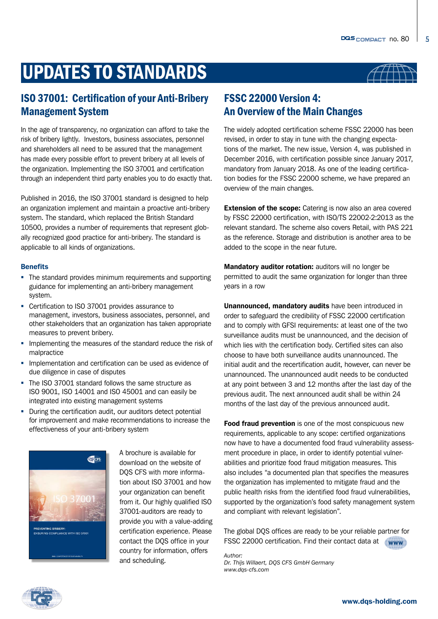# UPDATES TO STANDARDS

### ISO 37001: Certification of your Anti-Bribery Management System

In the age of transparency, no organization can afford to take the risk of bribery lightly. Investors, business associates, personnel and shareholders all need to be assured that the management has made every possible effort to prevent bribery at all levels of the organization. Implementing the ISO 37001 and certification through an independent third party enables you to do exactly that.

Published in 2016, the ISO 37001 standard is designed to help an organization implement and maintain a proactive anti-bribery system. The standard, which replaced the British Standard 10500, provides a number of requirements that represent globally recognized good practice for anti-bribery. The standard is applicable to all kinds of organizations.

#### **Benefits**

- The standard provides minimum requirements and supporting guidance for implementing an anti-bribery management system.
- Certification to ISO 37001 provides assurance to management, investors, business associates, personnel, and other stakeholders that an organization has taken appropriate measures to prevent bribery.
- **IMPLEMENTIFY IMPLEMENT IN THE MEASURE STANDARY IMPLEMENT IN THE IMPLEMENT IMPLEMENT IMPLEMENT IMPLEMENT IMPLEMENT IMPLEMENT IMPLEMENT IMPLEMENT IMPLEMENT IMPLEMENT IMPLEMENT IMPLEMENT IMPLEMENT IMPLEMENT IMPLEMENT IMPLEME** malpractice
- Implementation and certification can be used as evidence of due diligence in case of disputes
- The ISO 37001 standard follows the same structure as ISO 9001, ISO 14001 and ISO 45001 and can easily be integrated into existing management systems
- During the certification audit, our auditors detect potential for improvement and make recommendations to increase the effectiveness of your anti-bribery system



A brochure is available for download on the website of DQS CFS with more information about ISO 37001 and how your organization can benefit from it. Our highly qualified ISO 37001-auditors are ready to provide you with a value-adding certification experience. Please contact the DQS office in your country for information, offers and scheduling.



5

### FSSC 22000 Version 4: An Overview of the Main Changes

The widely adopted certification scheme FSSC 22000 has been revised, in order to stay in tune with the changing expectations of the market. The new issue, Version 4, was published in December 2016, with certification possible since January 2017, mandatory from January 2018. As one of the leading certification bodies for the FSSC 22000 scheme, we have prepared an overview of the main changes.

**Extension of the scope:** Catering is now also an area covered by FSSC 22000 certification, with ISO/TS 22002-2:2013 as the relevant standard. The scheme also covers Retail, with PAS 221 as the reference. Storage and distribution is another area to be added to the scope in the near future.

Mandatory auditor rotation: auditors will no longer be permitted to audit the same organization for longer than three years in a row

Unannounced, mandatory audits have been introduced in order to safeguard the credibility of FSSC 22000 certification and to comply with GFSI requirements: at least one of the two surveillance audits must be unannounced, and the decision of which lies with the certification body. Certified sites can also choose to have both surveillance audits unannounced. The initial audit and the recertification audit, however, can never be unannounced. The unannounced audit needs to be conducted at any point between 3 and 12 months after the last day of the previous audit. The next announced audit shall be within 24 months of the last day of the previous announced audit.

Food fraud prevention is one of the most conspicuous new requirements, applicable to any scope: certified organizations now have to have a documented food fraud vulnerability assessment procedure in place, in order to identify potential vulnerabilities and prioritize food fraud mitigation measures. This also includes "a documented plan that specifies the measures the organization has implemented to mitigate fraud and the public health risks from the identified food fraud vulnerabilities, supported by the organization's food safety management system and compliant with relevant legislation".

The global DQS offices are ready to be your reliable partner for FSSC 22000 certification. Find their contact data at [www](https://www.dqs-holding.com/en/contact-us/international/)

*Author: Dr. Thijs Willaert, DQS CFS GmbH Germany www.dqs-cfs.com*

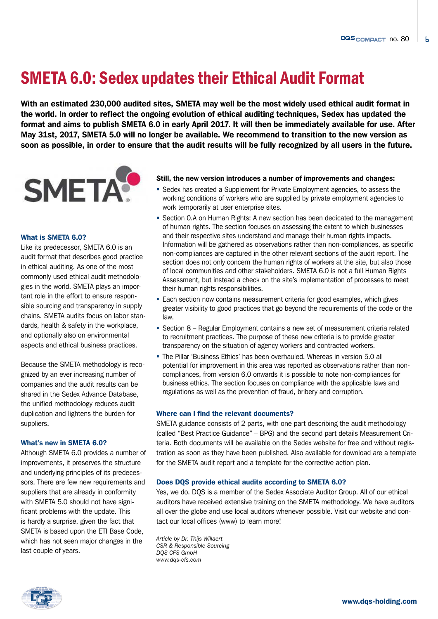# SMETA 6.0: Sedex updates their Ethical Audit Format

With an estimated 230,000 audited sites, SMETA may well be the most widely used ethical audit format in the world. In order to reflect the ongoing evolution of ethical auditing techniques, Sedex has updated the format and aims to publish SMETA 6.0 in early April 2017. It will then be immediately available for use. After May 31st, 2017, SMETA 5.0 will no longer be available. We recommend to transition to the new version as soon as possible, in order to ensure that the audit results will be fully recognized by all users in the future.



#### What is SMETA 6.0?

Like its predecessor, SMETA 6.0 is an audit format that describes good practice in ethical auditing. As one of the most commonly used ethical audit methodologies in the world, SMETA plays an important role in the effort to ensure responsible sourcing and transparency in supply chains. SMETA audits focus on labor standards, health & safety in the workplace, and optionally also on environmental aspects and ethical business practices.

Because the SMETA methodology is recognized by an ever increasing number of companies and the audit results can be shared in the Sedex Advance Database, the unified methodology reduces audit duplication and lightens the burden for suppliers.

#### What's new in SMETA 6.0?

Although SMETA 6.0 provides a number of improvements, it preserves the structure and underlying principles of its predecessors. There are few new requirements and suppliers that are already in conformity with SMETA 5.0 should not have significant problems with the update. This is hardly a surprise, given the fact that SMETA is based upon the ETI Base Code, which has not seen major changes in the last couple of years.

#### Still, the new version introduces a number of improvements and changes:

- Sedex has created a Supplement for Private Employment agencies, to assess the working conditions of workers who are supplied by private employment agencies to work temporarily at user enterprise sites.
- **Section 0.A on Human Rights: A new section has been dedicated to the management** of human rights. The section focuses on assessing the extent to which businesses and their respective sites understand and manage their human rights impacts. Information will be gathered as observations rather than non-compliances, as specific non-compliances are captured in the other relevant sections of the audit report. The section does not only concern the human rights of workers at the site, but also those of local communities and other stakeholders. SMETA 6.0 is not a full Human Rights Assessment, but instead a check on the site's implementation of processes to meet their human rights responsibilities.
- **Each section now contains measurement criteria for good examples, which gives** greater visibility to good practices that go beyond the requirements of the code or the law.
- Section 8 Regular Employment contains a new set of measurement criteria related to recruitment practices. The purpose of these new criteria is to provide greater transparency on the situation of agency workers and contracted workers.
- The Pillar 'Business Ethics' has been overhauled. Whereas in version 5.0 all potential for improvement in this area was reported as observations rather than noncompliances, from version 6.0 onwards it is possible to note non-compliances for business ethics. The section focuses on compliance with the applicable laws and regulations as well as the prevention of fraud, bribery and corruption.

#### Where can I find the relevant documents?

SMETA guidance consists of 2 parts, with one part describing the audit methodology (called "Best Practice Guidance" – BPG) and the second part details Measurement Criteria. Both documents will be available on the Sedex website for free and without registration as soon as they have been published. Also available for download are a template for the SMETA audit report and a template for the corrective action plan.

#### Does DQS provide ethical audits according to SMETA 6.0?

Yes, we do. DQS is a member of the Sedex Associate Auditor Group. All of our ethical auditors have received extensive training on the SMETA methodology. We have auditors all over the globe and use local auditors whenever possible. Visit our website and contact our local offices (www) to learn more!

*Article by Dr. Thijs Willaert CSR & Responsible Sourcing DQS CFS GmbH www.dqs-cfs.com*

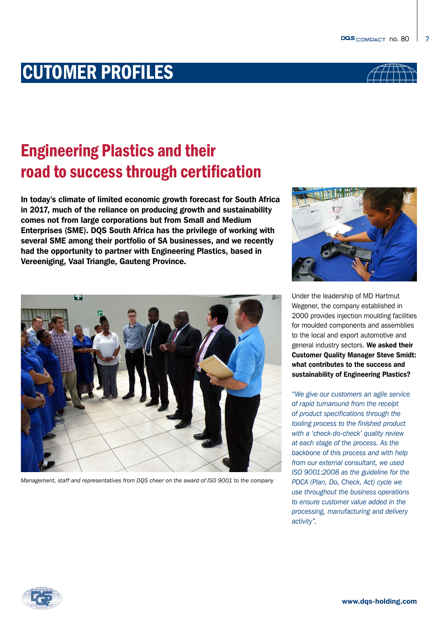

7

# CUTOMER PROFILES

# Engineering Plastics and their road to success through certification

In today's climate of limited economic growth forecast for South Africa in 2017, much of the reliance on producing growth and sustainability comes not from large corporations but from Small and Medium Enterprises (SME). DQS South Africa has the privilege of working with several SME among their portfolio of SA businesses, and we recently had the opportunity to partner with Engineering Plastics, based in Vereeniging, Vaal Triangle, Gauteng Province.



Under the leadership of MD Hartmut Wegener, the company established in 2000 provides injection moulding facilities for moulded components and assemblies to the local and export automotive and general industry sectors. We asked their Customer Quality Manager Steve Smidt: what contributes to the success and sustainability of Engineering Plastics?

*"We give our customers an agile service of rapid turnaround from the receipt of product specifications through the tooling process to the finished product with a 'check-do-check' quality review at each stage of the process. As the backbone of this process and with help from our external consultant, we used ISO 9001:2008 as the guideline for the PDCA (Plan, Do, Check, Act) cycle we use throughout the business operations to ensure customer value added in the processing, manufacturing and delivery activity".*



*Management, staff and representatives from DQS cheer on the award of ISO 9001 to the company*